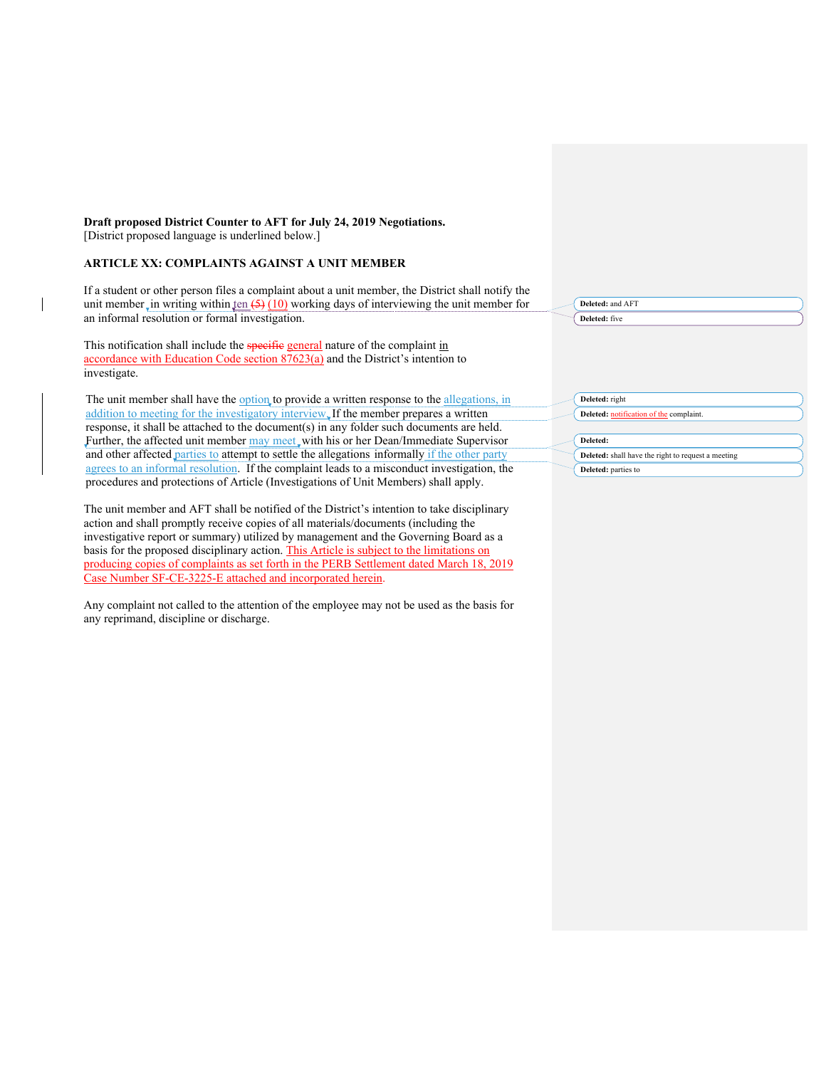# **Draft proposed District Counter to AFT for July 24, 2019 Negotiations.** [District proposed language is underlined below.]

## **ARTICLE XX: COMPLAINTS AGAINST A UNIT MEMBER**

 $\overline{\phantom{a}}$ 

If a student or other person files a complaint about a unit member, the District shall notify the unit member in writing within ten  $(5)$  (10) working days of interviewing the unit member for an informal resolution or formal investigation.

This notification shall include the specific general nature of the complaint in accordance with Education Code section 87623(a) and the District's intention to investigate.

The unit member shall have the option to provide a written response to the allegations, in addition to meeting for the investigatory interview. If the member prepares a written response, it shall be attached to the document(s) in any folder such documents are held. Further, the affected unit member may meet, with his or her Dean/Immediate Supervisor and other affected parties to attempt to settle the allegations informally if the other party agrees to an informal resolution. If the complaint leads to a misconduct investigation, the procedures and protections of Article (Investigations of Unit Members) shall apply.

The unit member and AFT shall be notified of the District's intention to take disciplinary action and shall promptly receive copies of all materials/documents (including the investigative report or summary) utilized by management and the Governing Board as a basis for the proposed disciplinary action. This Article is subject to the limitations on producing copies of complaints as set forth in the PERB Settlement dated March 18, 2019 Case Number SF-CE-3225-E attached and incorporated herein.

Any complaint not called to the attention of the employee may not be used as the basis for any reprimand, discipline or discharge.

| Deleted: and AFT                                   |
|----------------------------------------------------|
| Deleted: five                                      |
|                                                    |
|                                                    |
|                                                    |
|                                                    |
| Deleted: right                                     |
|                                                    |
| Deleted: notification of the complaint.            |
| Deleted:                                           |
| Deleted: shall have the right to request a meeting |
|                                                    |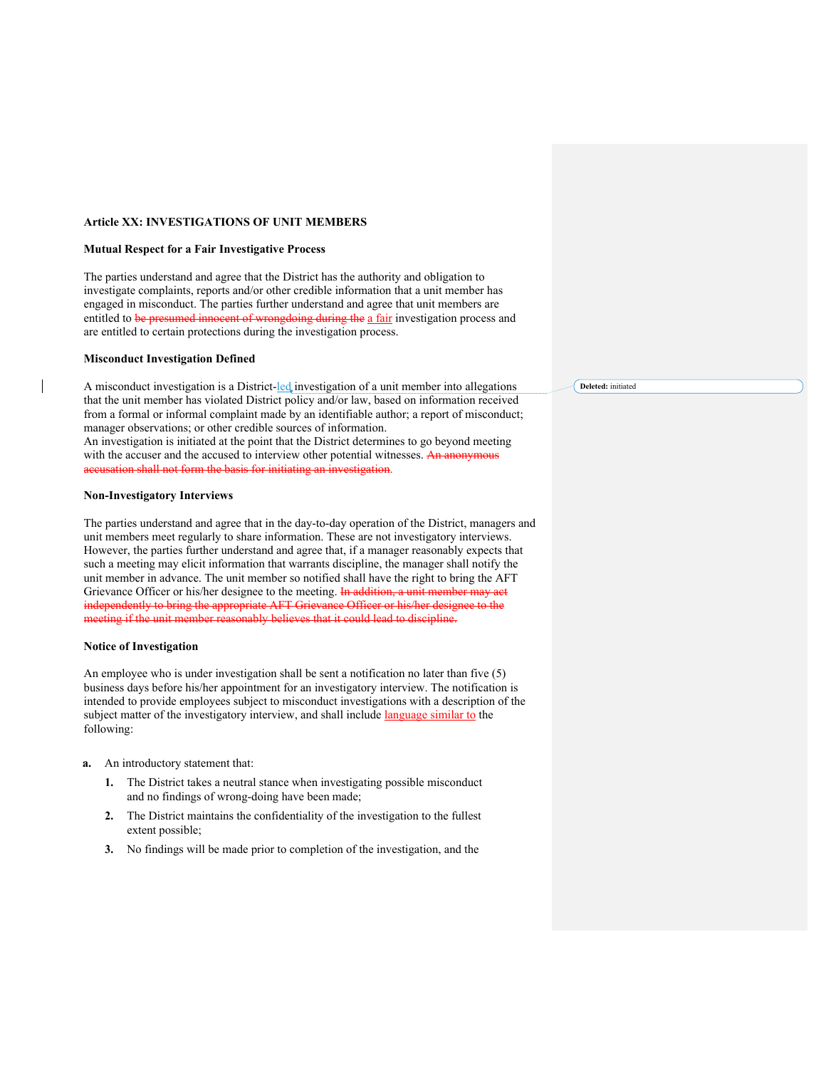## **Article XX: INVESTIGATIONS OF UNIT MEMBERS**

## **Mutual Respect for a Fair Investigative Process**

The parties understand and agree that the District has the authority and obligation to investigate complaints, reports and/or other credible information that a unit member has engaged in misconduct. The parties further understand and agree that unit members are entitled to be presumed innocent of wrongdoing during the a fair investigation process and are entitled to certain protections during the investigation process.

#### **Misconduct Investigation Defined**

A misconduct investigation is a District-led investigation of a unit member into allegations that the unit member has violated District policy and/or law, based on information received from a formal or informal complaint made by an identifiable author; a report of misconduct; manager observations; or other credible sources of information. An investigation is initiated at the point that the District determines to go beyond meeting with the accuser and the accused to interview other potential witnesses. An anonymous ation shall not form the basis for initiating an investigat

# **Non-Investigatory Interviews**

The parties understand and agree that in the day-to-day operation of the District, managers and unit members meet regularly to share information. These are not investigatory interviews. However, the parties further understand and agree that, if a manager reasonably expects that such a meeting may elicit information that warrants discipline, the manager shall notify the unit member in advance. The unit member so notified shall have the right to bring the AFT Grievance Officer or his/her designee to the meeting. In addition, a unit member may act independently to bring the appropriate AFT Grievance Officer or his/her designee to the meeting if the unit member reasonably believes that it could lead to discipline.

## **Notice of Investigation**

An employee who is under investigation shall be sent a notification no later than five (5) business days before his/her appointment for an investigatory interview. The notification is intended to provide employees subject to misconduct investigations with a description of the subject matter of the investigatory interview, and shall include language similar to the following:

- **a.** An introductory statement that:
	- **1.** The District takes a neutral stance when investigating possible misconduct and no findings of wrong-doing have been made;
	- **2.** The District maintains the confidentiality of the investigation to the fullest extent possible;
	- **3.** No findings will be made prior to completion of the investigation, and the

**Deleted:** initiated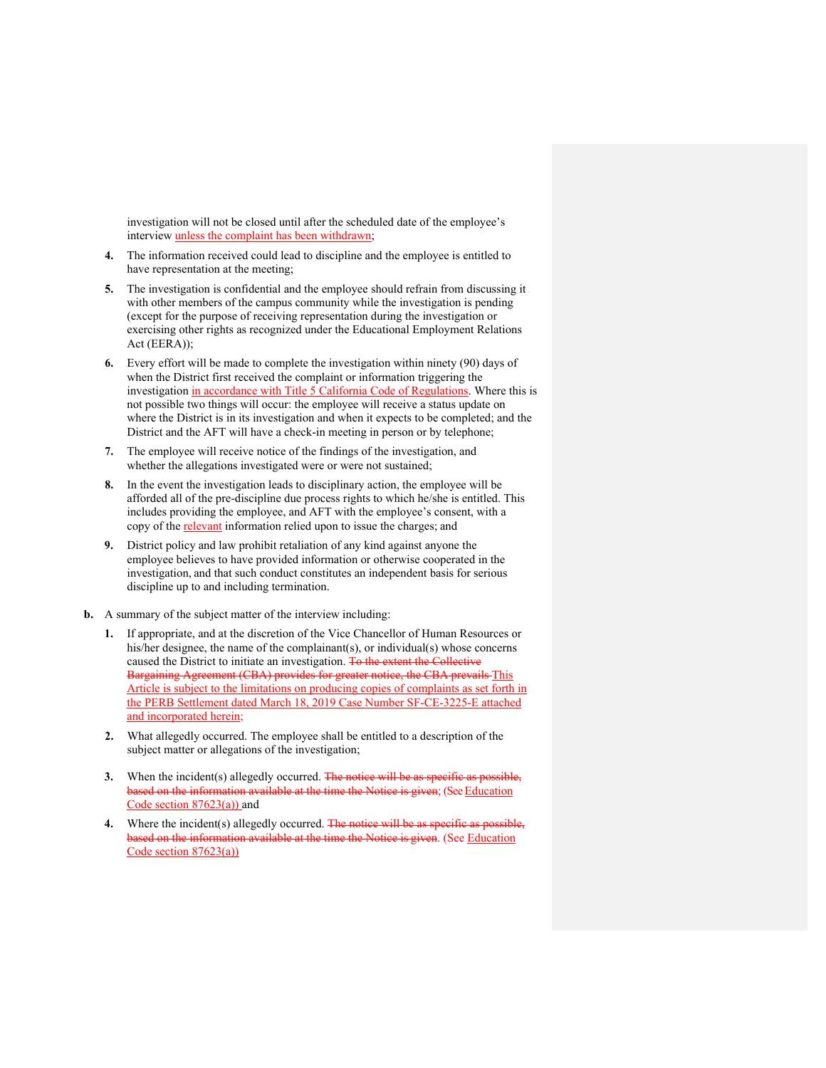investigation will not be closed until after the scheduled date of the employee's interview unless the complaint has been withdrawn;

- **4.** The information received could lead to discipline and the employee is entitled to have representation at the meeting;
- **5.** The investigation is confidential and the employee should refrain from discussing it with other members of the campus community while the investigation is pending (except for the purpose of receiving representation during the investigation or exercising other rights as recognized under the Educational Employment Relations Act (EERA));
- **6.** Every effort will be made to complete the investigation within ninety (90) days of when the District first received the complaint or information triggering the investigation in accordance with Title 5 California Code of Regulations. Where this is not possible two things will occur: the employee will receive a status update on where the District is in its investigation and when it expects to be completed; and the District and the AFT will have a check-in meeting in person or by telephone;
- **7.** The employee will receive notice of the findings of the investigation, and whether the allegations investigated were or were not sustained;
- **8.** In the event the investigation leads to disciplinary action, the employee will be afforded all of the pre-discipline due process rights to which he/she is entitled. This includes providing the employee, and AFT with the employee's consent, with a copy of the relevant information relied upon to issue the charges; and
- **9.** District policy and law prohibit retaliation of any kind against anyone the employee believes to have provided information or otherwise cooperated in the investigation, and that such conduct constitutes an independent basis for serious discipline up to and including termination.
- **b.** A summary of the subject matter of the interview including:
	- **1.** If appropriate, and at the discretion of the Vice Chancellor of Human Resources or his/her designee, the name of the complainant(s), or individual(s) whose concerns caused the District to initiate an investigation. To the extent the Collective Bargaining Agreement (CBA) provides for greater notice, the CBA prevails This Article is subject to the limitations on producing copies of complaints as set forth in the PERB Settlement dated March 18, 2019 Case Number SF-CE-3225-E attached and incorporated herein;
	- **2.** What allegedly occurred. The employee shall be entitled to a description of the subject matter or allegations of the investigation;
	- **3.** When the incident(s) allegedly occurred. The notice will be as specific as possible, based on the information available at the time the Notice is given; (See Education Code section 87623(a)) and
	- 4. Where the incident(s) allegedly occurred. The notice will be as specific as possible, based on the information available at the time the Notice is given. (See Education Code section 87623(a))